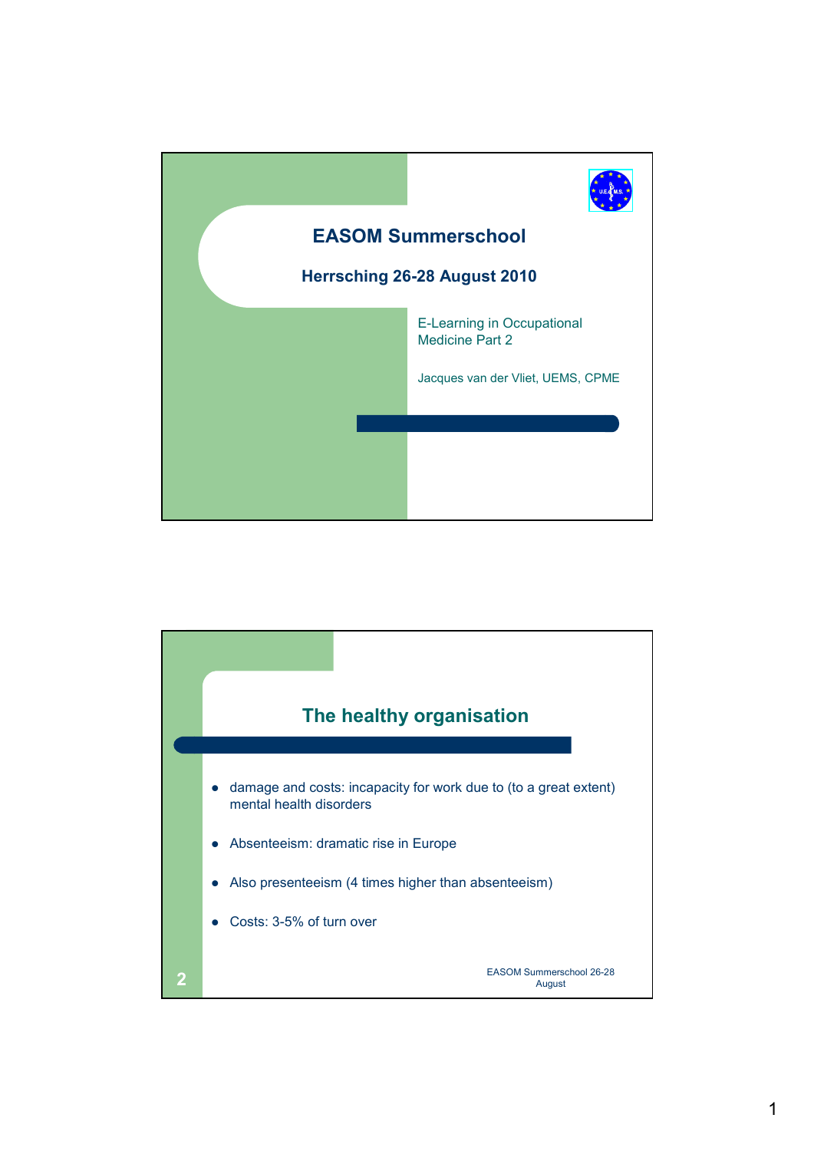

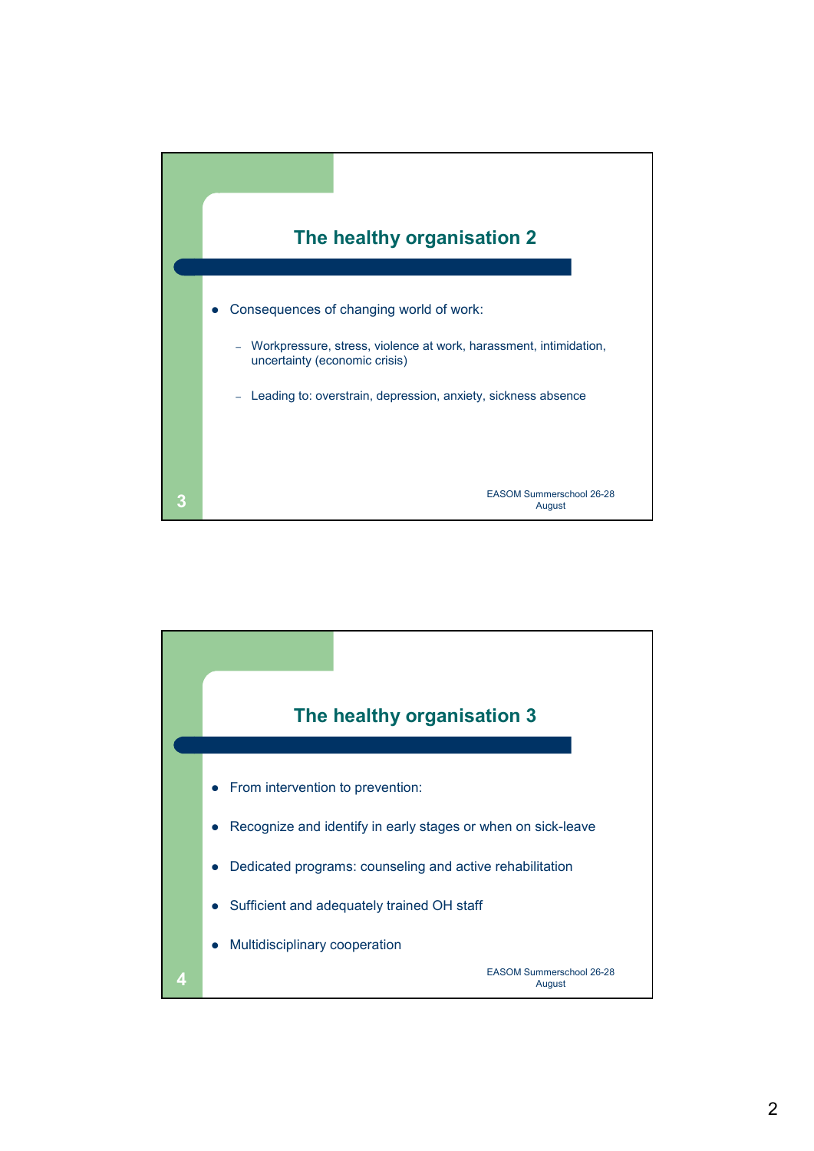

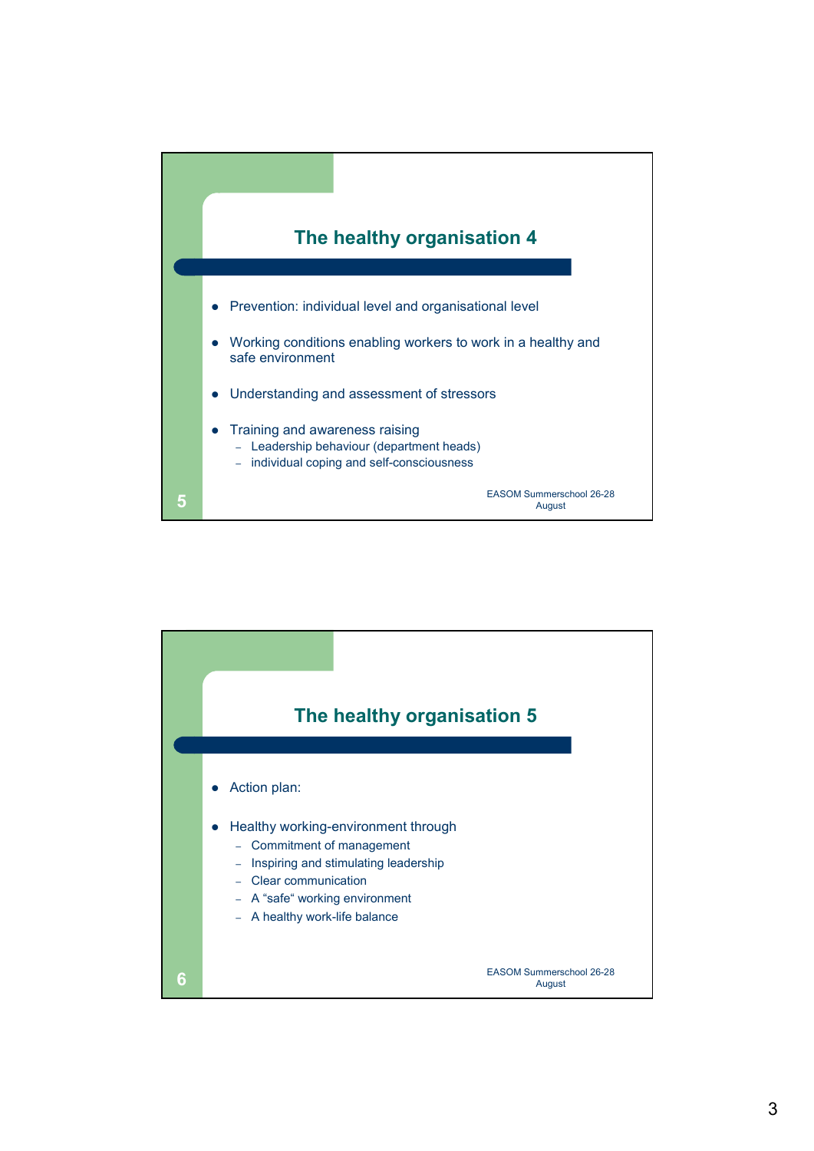

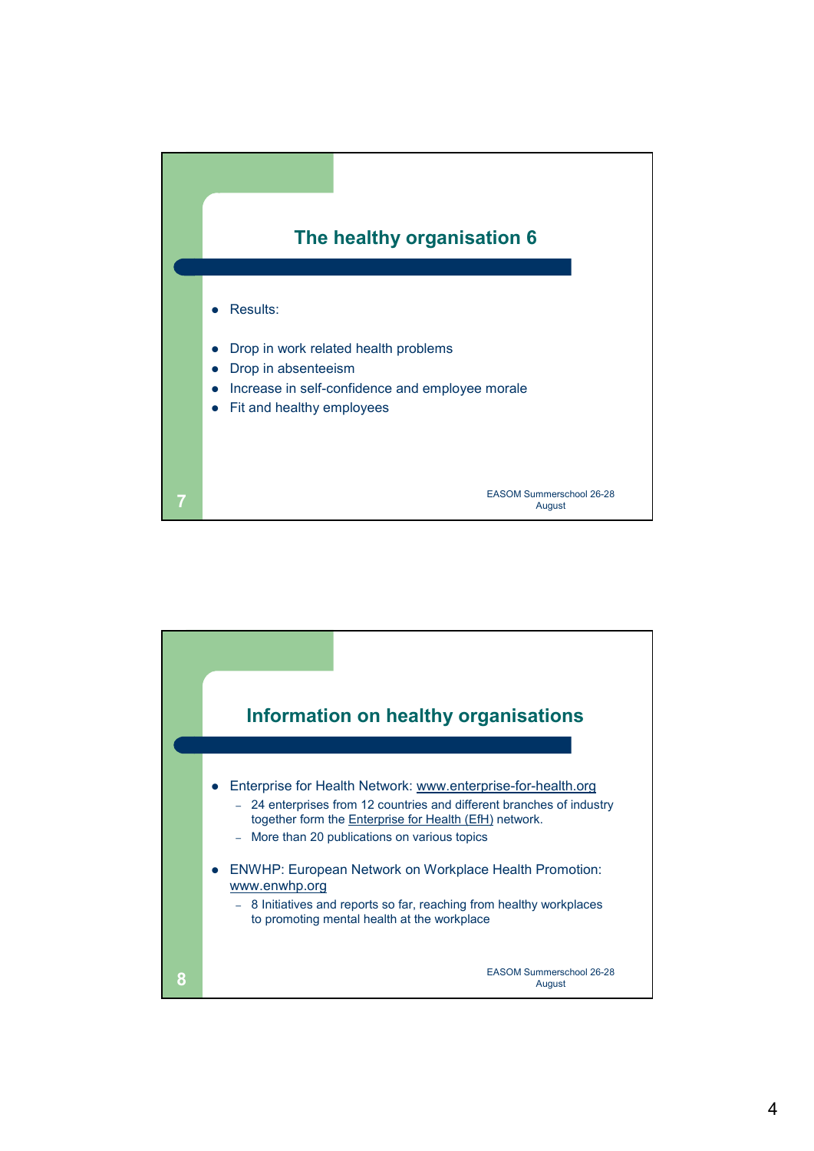